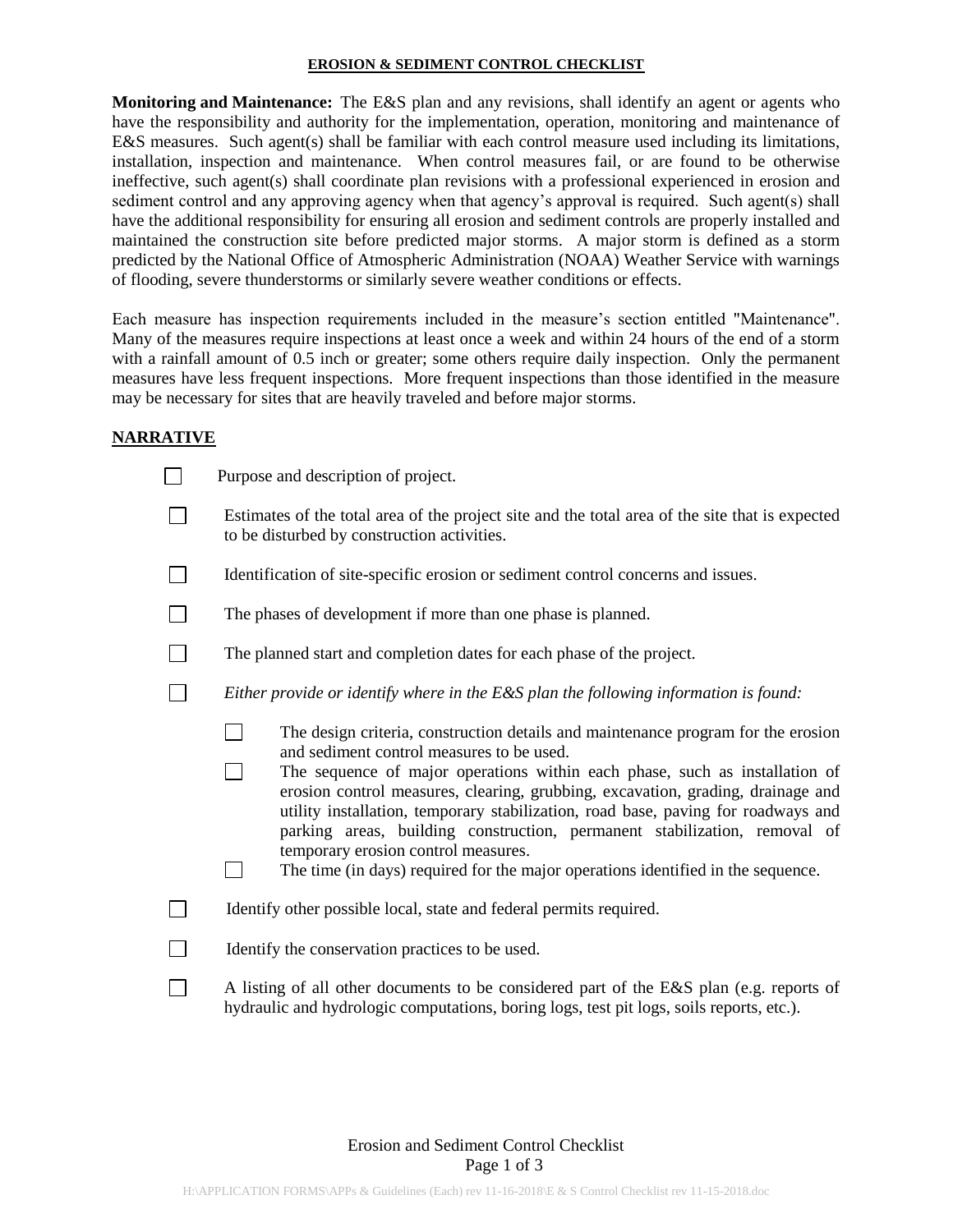#### **EROSION & SEDIMENT CONTROL CHECKLIST**

**Monitoring and Maintenance:** The E&S plan and any revisions, shall identify an agent or agents who have the responsibility and authority for the implementation, operation, monitoring and maintenance of E&S measures. Such agent(s) shall be familiar with each control measure used including its limitations, installation, inspection and maintenance. When control measures fail, or are found to be otherwise ineffective, such agent(s) shall coordinate plan revisions with a professional experienced in erosion and sediment control and any approving agency when that agency's approval is required. Such agent(s) shall have the additional responsibility for ensuring all erosion and sediment controls are properly installed and maintained the construction site before predicted major storms. A major storm is defined as a storm predicted by the National Office of Atmospheric Administration (NOAA) Weather Service with warnings of flooding, severe thunderstorms or similarly severe weather conditions or effects.

Each measure has inspection requirements included in the measure's section entitled "Maintenance". Many of the measures require inspections at least once a week and within 24 hours of the end of a storm with a rainfall amount of 0.5 inch or greater; some others require daily inspection. Only the permanent measures have less frequent inspections. More frequent inspections than those identified in the measure may be necessary for sites that are heavily traveled and before major storms.

### **NARRATIVE**

| Purpose and description of project.                                                                                                                                                                                                                                                                                                                                                                                                                                                                                                                                                           |  |  |  |  |
|-----------------------------------------------------------------------------------------------------------------------------------------------------------------------------------------------------------------------------------------------------------------------------------------------------------------------------------------------------------------------------------------------------------------------------------------------------------------------------------------------------------------------------------------------------------------------------------------------|--|--|--|--|
| Estimates of the total area of the project site and the total area of the site that is expected<br>to be disturbed by construction activities.                                                                                                                                                                                                                                                                                                                                                                                                                                                |  |  |  |  |
| Identification of site-specific erosion or sediment control concerns and issues.                                                                                                                                                                                                                                                                                                                                                                                                                                                                                                              |  |  |  |  |
| The phases of development if more than one phase is planned.                                                                                                                                                                                                                                                                                                                                                                                                                                                                                                                                  |  |  |  |  |
| The planned start and completion dates for each phase of the project.                                                                                                                                                                                                                                                                                                                                                                                                                                                                                                                         |  |  |  |  |
| Either provide or identify where in the E&S plan the following information is found:                                                                                                                                                                                                                                                                                                                                                                                                                                                                                                          |  |  |  |  |
| The design criteria, construction details and maintenance program for the erosion<br>and sediment control measures to be used.<br>The sequence of major operations within each phase, such as installation of<br>erosion control measures, clearing, grubbing, excavation, grading, drainage and<br>utility installation, temporary stabilization, road base, paving for roadways and<br>parking areas, building construction, permanent stabilization, removal of<br>temporary erosion control measures.<br>The time (in days) required for the major operations identified in the sequence. |  |  |  |  |
| Identify other possible local, state and federal permits required.                                                                                                                                                                                                                                                                                                                                                                                                                                                                                                                            |  |  |  |  |
| Identify the conservation practices to be used.                                                                                                                                                                                                                                                                                                                                                                                                                                                                                                                                               |  |  |  |  |
| A listing of all other documents to be considered part of the E&S plan (e.g. reports of<br>hydraulic and hydrologic computations, boring logs, test pit logs, soils reports, etc.).                                                                                                                                                                                                                                                                                                                                                                                                           |  |  |  |  |

# Erosion and Sediment Control Checklist Page 1 of 3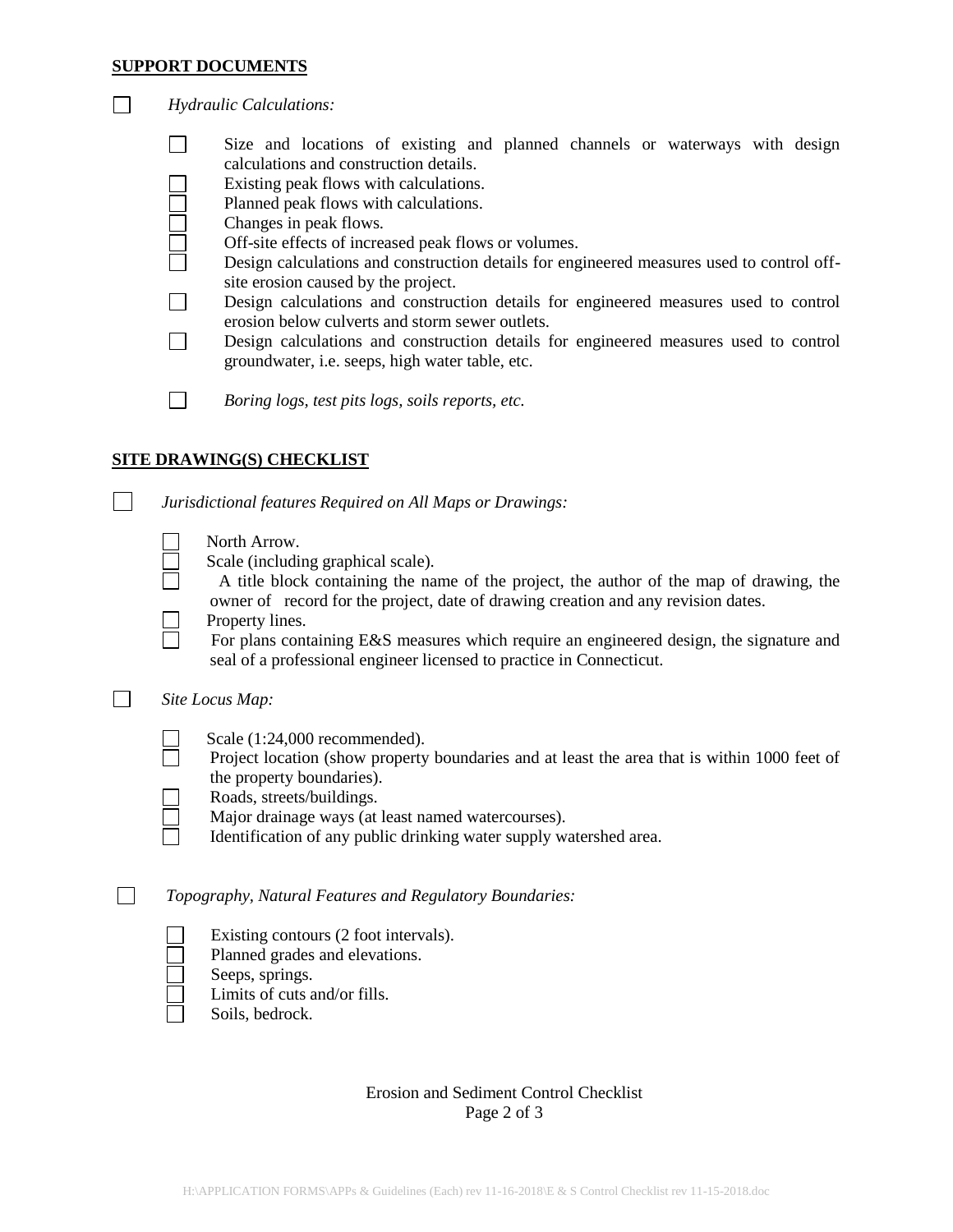### **SUPPORT DOCUMENTS**

- $\Box$ Size and locations of existing and planned channels or waterways with design calculations and construction details.
	- Existing peak flows with calculations.
	- Planned peak flows with calculations.
	- Changes in peak flows.
		- Off-site effects of increased peak flows or volumes.
		- Design calculations and construction details for engineered measures used to control offsite erosion caused by the project.
- $\Box$ Design calculations and construction details for engineered measures used to control erosion below culverts and storm sewer outlets.
- $\Box$ Design calculations and construction details for engineered measures used to control groundwater, i.e. seeps, high water table, etc.

 $\Box$ *Boring logs, test pits logs, soils reports, etc.*

## **SITE DRAWING(S) CHECKLIST**

|  |  |  | Jurisdictional features Required on All Maps or Drawings: |
|--|--|--|-----------------------------------------------------------|
|  |  |  |                                                           |
|  |  |  |                                                           |

- Scale (including graphical scale).
	- A title block containing the name of the project, the author of the map of drawing, the owner of record for the project, date of drawing creation and any revision dates.
- Property lines.
	- For plans containing E&S measures which require an engineered design, the signature and seal of a professional engineer licensed to practice in Connecticut.

## *Site Locus Map:*

- Scale (1:24,000 recommended).
- Project location (show property boundaries and at least the area that is within 1000 feet of the property boundaries).
- Roads, streets/buildings.
- Major drainage ways (at least named watercourses).
- Identification of any public drinking water supply watershed area.

## *Topography, Natural Features and Regulatory Boundaries:*

- Existing contours (2 foot intervals).
- Planned grades and elevations.
- Seeps, springs.
- Limits of cuts and/or fills.
- Soils, bedrock.

# Erosion and Sediment Control Checklist Page 2 of 3